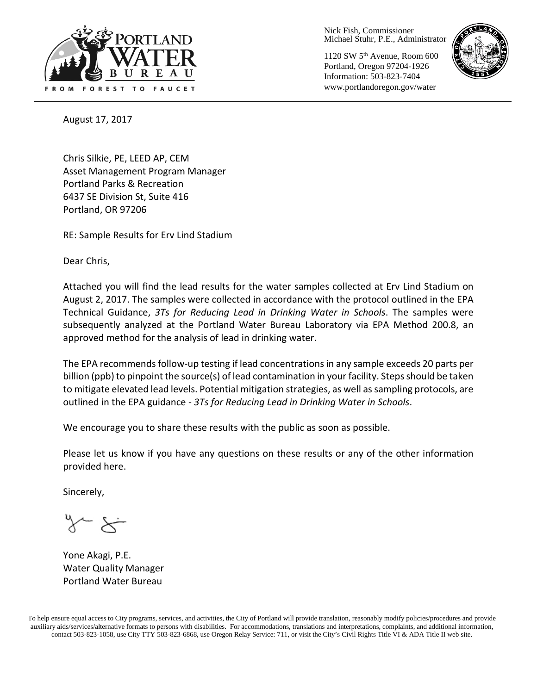

Nick Fish, Commissioner Michael Stuhr, P.E., Administrator

1120 SW 5th Avenue, Room 600 Portland, Oregon 97204-1926 Information: 503-823-7404 www.portlandoregon.gov/water



August 17, 2017

Chris Silkie, PE, LEED AP, CEM Asset Management Program Manager Portland Parks & Recreation 6437 SE Division St, Suite 416 Portland, OR 97206

RE: Sample Results for Erv Lind Stadium

Dear Chris,

Attached you will find the lead results for the water samples collected at Erv Lind Stadium on August 2, 2017. The samples were collected in accordance with the protocol outlined in the EPA Technical Guidance, *3Ts for Reducing Lead in Drinking Water in Schools*. The samples were subsequently analyzed at the Portland Water Bureau Laboratory via EPA Method 200.8, an approved method for the analysis of lead in drinking water.

The EPA recommends follow-up testing if lead concentrations in any sample exceeds 20 parts per billion (ppb) to pinpoint the source(s) of lead contamination in your facility. Steps should be taken to mitigate elevated lead levels. Potential mitigation strategies, as well as sampling protocols, are outlined in the EPA guidance - *3Ts for Reducing Lead in Drinking Water in Schools*.

We encourage you to share these results with the public as soon as possible.

Please let us know if you have any questions on these results or any of the other information provided here.

Sincerely,

Yone Akagi, P.E. Water Quality Manager Portland Water Bureau

To help ensure equal access to City programs, services, and activities, the City of Portland will provide translation, reasonably modify policies/procedures and provide auxiliary aids/services/alternative formats to persons with disabilities. For accommodations, translations and interpretations, complaints, and additional information, contact 503-823-1058, use City TTY 503-823-6868, use Oregon Relay Service: 711, or visi[t the City's Civil Rights Title VI & ADA Title II web site.](http://www.portlandoregon.gov/oehr/66458)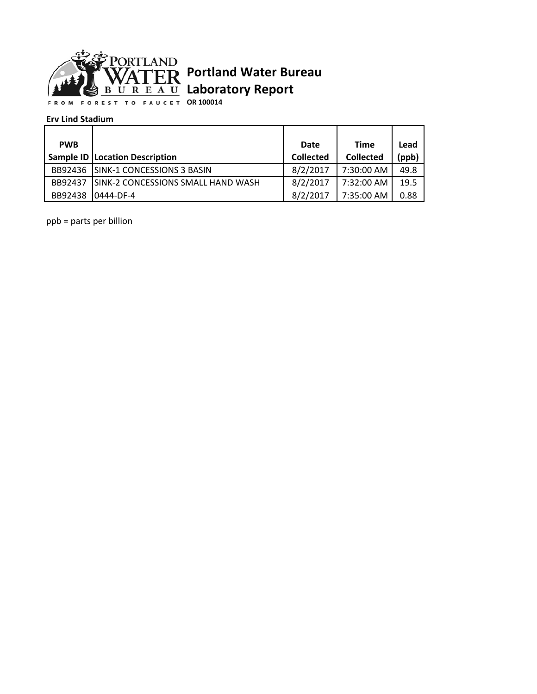

## **Portland Water Bureau Laboratory Report**

**OR 100014**

## **Erv Lind Stadium**

| <b>PWB</b> |                                         | Date             | <b>Time</b>      | Lead  |
|------------|-----------------------------------------|------------------|------------------|-------|
|            | <b>Sample ID   Location Description</b> | <b>Collected</b> | <b>Collected</b> | (ppb) |
|            | BB92436 ISINK-1 CONCESSIONS 3 BASIN     | 8/2/2017         | 7:30:00 AM       | 49.8  |
| BB92437    | ISINK-2 CONCESSIONS SMALL HAND WASH     | 8/2/2017         | 7:32:00 AM       | 19.5  |
| BB92438    | 0444-DF-4                               | 8/2/2017         | 7:35:00 AM       | 0.88  |

ppb = parts per billion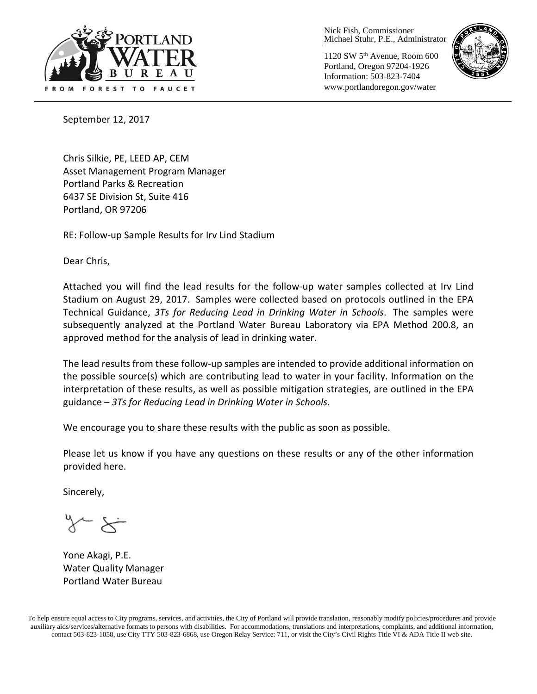

Nick Fish, Commissioner Michael Stuhr, P.E., Administrator

1120 SW 5th Avenue, Room 600 Portland, Oregon 97204-1926 Information: 503-823-7404 www.portlandoregon.gov/water



September 12, 2017

Chris Silkie, PE, LEED AP, CEM Asset Management Program Manager Portland Parks & Recreation 6437 SE Division St, Suite 416 Portland, OR 97206

RE: Follow-up Sample Results for Irv Lind Stadium

Dear Chris,

Attached you will find the lead results for the follow-up water samples collected at Irv Lind Stadium on August 29, 2017. Samples were collected based on protocols outlined in the EPA Technical Guidance, *3Ts for Reducing Lead in Drinking Water in Schools*. The samples were subsequently analyzed at the Portland Water Bureau Laboratory via EPA Method 200.8, an approved method for the analysis of lead in drinking water.

The lead results from these follow-up samples are intended to provide additional information on the possible source(s) which are contributing lead to water in your facility. Information on the interpretation of these results, as well as possible mitigation strategies, are outlined in the EPA guidance – *3Ts for Reducing Lead in Drinking Water in Schools*.

We encourage you to share these results with the public as soon as possible.

Please let us know if you have any questions on these results or any of the other information provided here.

Sincerely,

Yone Akagi, P.E. Water Quality Manager Portland Water Bureau

To help ensure equal access to City programs, services, and activities, the City of Portland will provide translation, reasonably modify policies/procedures and provide auxiliary aids/services/alternative formats to persons with disabilities. For accommodations, translations and interpretations, complaints, and additional information, contact 503-823-1058, use City TTY 503-823-6868, use Oregon Relay Service: 711, or visi[t the City's Civil Rights Title VI & ADA Title II web site.](http://www.portlandoregon.gov/oehr/66458)